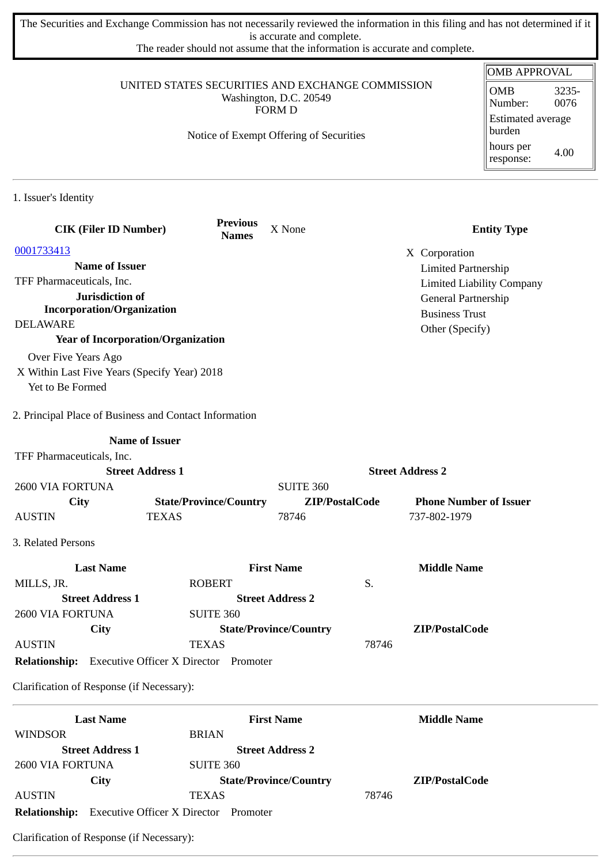The Securities and Exchange Commission has not necessarily reviewed the information in this filing and has not determined if it is accurate and complete.

The reader should not assume that the information is accurate and complete.

|                                                                            |                                         |                               |                |                            | <b>OMB APPROVAL</b>                    |
|----------------------------------------------------------------------------|-----------------------------------------|-------------------------------|----------------|----------------------------|----------------------------------------|
| UNITED STATES SECURITIES AND EXCHANGE COMMISSION<br>Washington, D.C. 20549 |                                         |                               |                |                            | <b>OMB</b><br>3235-<br>0076<br>Number: |
|                                                                            |                                         | <b>FORM D</b>                 |                |                            | Estimated average                      |
|                                                                            | Notice of Exempt Offering of Securities |                               |                |                            | burden                                 |
|                                                                            |                                         |                               |                |                            | hours per<br>4.00<br>response:         |
| 1. Issuer's Identity                                                       |                                         |                               |                |                            |                                        |
| <b>CIK (Filer ID Number)</b>                                               | <b>Previous</b><br><b>Names</b>         | X None                        |                |                            | <b>Entity Type</b>                     |
| 0001733413                                                                 |                                         |                               |                | X Corporation              |                                        |
| <b>Name of Issuer</b>                                                      |                                         |                               |                | <b>Limited Partnership</b> |                                        |
| TFF Pharmaceuticals, Inc.                                                  |                                         |                               |                |                            | <b>Limited Liability Company</b>       |
| Jurisdiction of                                                            |                                         |                               |                | General Partnership        |                                        |
| <b>Incorporation/Organization</b>                                          |                                         |                               |                | <b>Business Trust</b>      |                                        |
| <b>DELAWARE</b>                                                            |                                         |                               |                | Other (Specify)            |                                        |
| <b>Year of Incorporation/Organization</b>                                  |                                         |                               |                |                            |                                        |
| Over Five Years Ago                                                        |                                         |                               |                |                            |                                        |
| X Within Last Five Years (Specify Year) 2018                               |                                         |                               |                |                            |                                        |
| Yet to Be Formed                                                           |                                         |                               |                |                            |                                        |
| 2. Principal Place of Business and Contact Information                     |                                         |                               |                |                            |                                        |
|                                                                            | <b>Name of Issuer</b>                   |                               |                |                            |                                        |
| TFF Pharmaceuticals, Inc.                                                  |                                         |                               |                |                            |                                        |
|                                                                            | <b>Street Address 1</b>                 |                               |                | <b>Street Address 2</b>    |                                        |
| <b>2600 VIA FORTUNA</b>                                                    |                                         | <b>SUITE 360</b>              |                |                            |                                        |
| City                                                                       | <b>State/Province/Country</b>           |                               | ZIP/PostalCode |                            | <b>Phone Number of Issuer</b>          |
| <b>AUSTIN</b>                                                              | <b>TEXAS</b>                            | 78746                         |                | 737-802-1979               |                                        |
| 3. Related Persons                                                         |                                         |                               |                |                            |                                        |
| <b>Last Name</b>                                                           |                                         | <b>First Name</b>             |                | <b>Middle Name</b>         |                                        |
| MILLS, JR.                                                                 | <b>ROBERT</b>                           |                               | S.             |                            |                                        |
| <b>Street Address 1</b>                                                    |                                         | <b>Street Address 2</b>       |                |                            |                                        |
| 2600 VIA FORTUNA                                                           | <b>SUITE 360</b>                        |                               |                |                            |                                        |
| City                                                                       |                                         | <b>State/Province/Country</b> |                | ZIP/PostalCode             |                                        |
| <b>AUSTIN</b>                                                              | <b>TEXAS</b>                            |                               | 78746          |                            |                                        |
| <b>Relationship:</b> Executive Officer X Director Promoter                 |                                         |                               |                |                            |                                        |
| Clarification of Response (if Necessary):                                  |                                         |                               |                |                            |                                        |
| <b>Last Name</b>                                                           |                                         | <b>First Name</b>             |                | <b>Middle Name</b>         |                                        |
| <b>WINDSOR</b>                                                             | <b>BRIAN</b>                            |                               |                |                            |                                        |
| <b>Street Address 1</b>                                                    |                                         | <b>Street Address 2</b>       |                |                            |                                        |
| 2600 VIA FORTUNA                                                           | <b>SUITE 360</b>                        |                               |                |                            |                                        |
| <b>City</b>                                                                |                                         | <b>State/Province/Country</b> |                | ZIP/PostalCode             |                                        |
| <b>AUSTIN</b>                                                              | <b>TEXAS</b>                            |                               | 78746          |                            |                                        |

**Relationship:** Executive Officer X Director Promoter

Clarification of Response (if Necessary):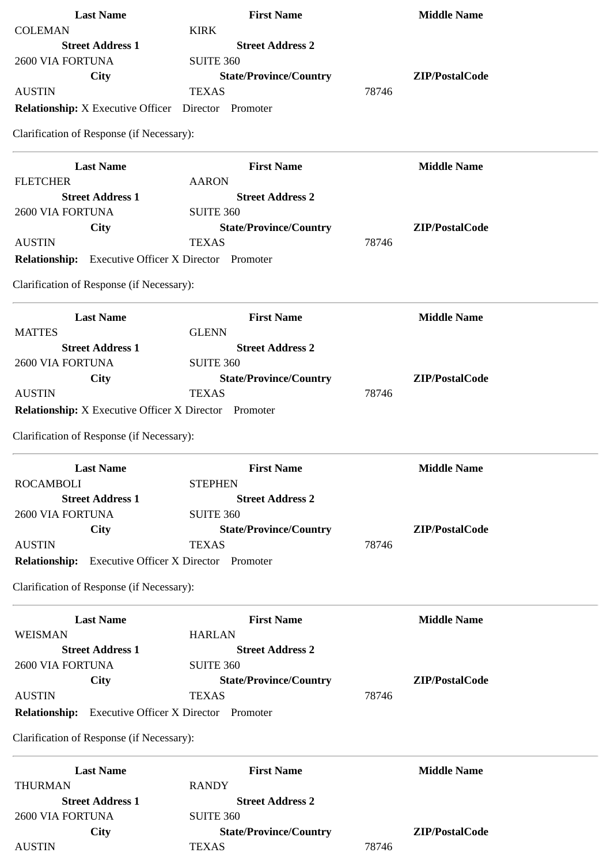| <b>Last Name</b>                                             | <b>First Name</b>             | <b>Middle Name</b> |
|--------------------------------------------------------------|-------------------------------|--------------------|
| <b>COLEMAN</b>                                               | <b>KIRK</b>                   |                    |
| <b>Street Address 1</b>                                      | <b>Street Address 2</b>       |                    |
| 2600 VIA FORTUNA                                             | <b>SUITE 360</b>              |                    |
| <b>City</b>                                                  | <b>State/Province/Country</b> | ZIP/PostalCode     |
| <b>AUSTIN</b>                                                | <b>TEXAS</b>                  | 78746              |
| <b>Relationship:</b> X Executive Officer  Director  Promoter |                               |                    |
| Clarification of Response (if Necessary):                    |                               |                    |
| <b>Last Name</b>                                             | <b>First Name</b>             | <b>Middle Name</b> |
| <b>FLETCHER</b>                                              | <b>AARON</b>                  |                    |
| <b>Street Address 1</b>                                      | <b>Street Address 2</b>       |                    |
| 2600 VIA FORTUNA                                             | <b>SUITE 360</b>              |                    |
| <b>City</b>                                                  | <b>State/Province/Country</b> | ZIP/PostalCode     |
| <b>AUSTIN</b>                                                | <b>TEXAS</b>                  | 78746              |
| Relationship: Executive Officer X Director Promoter          |                               |                    |
| Clarification of Response (if Necessary):                    |                               |                    |
| <b>Last Name</b>                                             | <b>First Name</b>             | <b>Middle Name</b> |
| <b>MATTES</b>                                                | <b>GLENN</b>                  |                    |
| <b>Street Address 1</b>                                      | <b>Street Address 2</b>       |                    |
| 2600 VIA FORTUNA                                             | <b>SUITE 360</b>              |                    |
| <b>City</b>                                                  | <b>State/Province/Country</b> | ZIP/PostalCode     |
| <b>AUSTIN</b>                                                | <b>TEXAS</b>                  | 78746              |
| <b>Relationship:</b> X Executive Officer X Director Promoter |                               |                    |
|                                                              |                               |                    |
| Clarification of Response (if Necessary):                    |                               |                    |
| <b>Last Name</b>                                             | <b>First Name</b>             | <b>Middle Name</b> |
| <b>ROCAMBOLI</b>                                             | <b>STEPHEN</b>                |                    |
| <b>Street Address 1</b>                                      | <b>Street Address 2</b>       |                    |
| 2600 VIA FORTUNA                                             | <b>SUITE 360</b>              |                    |
| <b>City</b>                                                  | <b>State/Province/Country</b> | ZIP/PostalCode     |
| <b>AUSTIN</b>                                                | <b>TEXAS</b>                  | 78746              |
| Relationship: Executive Officer X Director Promoter          |                               |                    |
| Clarification of Response (if Necessary):                    |                               |                    |
| <b>Last Name</b>                                             | <b>First Name</b>             | <b>Middle Name</b> |
| WEISMAN                                                      | <b>HARLAN</b>                 |                    |
| <b>Street Address 1</b>                                      | <b>Street Address 2</b>       |                    |
| 2600 VIA FORTUNA                                             | <b>SUITE 360</b>              |                    |
| <b>City</b>                                                  | <b>State/Province/Country</b> | ZIP/PostalCode     |
| <b>AUSTIN</b>                                                | <b>TEXAS</b>                  | 78746              |
| <b>Relationship:</b> Executive Officer X Director Promoter   |                               |                    |
| Clarification of Response (if Necessary):                    |                               |                    |
|                                                              |                               |                    |
| <b>Last Name</b>                                             | <b>First Name</b>             | <b>Middle Name</b> |
| <b>THURMAN</b>                                               | <b>RANDY</b>                  |                    |
| <b>Street Address 1</b>                                      | <b>Street Address 2</b>       |                    |
| 2600 VIA FORTUNA                                             | <b>SUITE 360</b>              |                    |
| City                                                         | <b>State/Province/Country</b> | ZIP/PostalCode     |
| <b>AUSTIN</b>                                                | <b>TEXAS</b>                  | 78746              |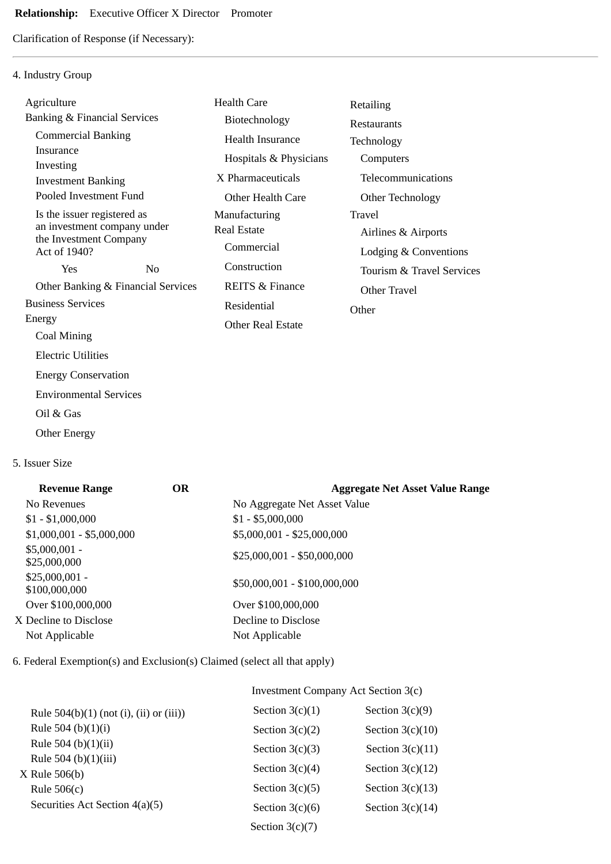## **Relationship:** Executive Officer X Director Promoter

Clarification of Response (if Necessary):

## 4. Industry Group

| Agriculture                                         |                | <b>Health Care</b>         | Retailing                 |
|-----------------------------------------------------|----------------|----------------------------|---------------------------|
| <b>Banking &amp; Financial Services</b>             |                | Biotechnology              | <b>Restaurants</b>        |
| <b>Commercial Banking</b>                           |                | Health Insurance           | Technology                |
| Insurance                                           |                | Hospitals & Physicians     | Computers                 |
| Investing                                           |                | X Pharmaceuticals          | Telecommunications        |
| <b>Investment Banking</b><br>Pooled Investment Fund |                | Other Health Care          | Other Technology          |
| Is the issuer registered as                         |                | Manufacturing              | Travel                    |
| an investment company under                         |                | <b>Real Estate</b>         | Airlines & Airports       |
| the Investment Company<br>Act of 1940?              |                | Commercial                 | Lodging & Conventions     |
| Yes                                                 | N <sub>0</sub> | Construction               | Tourism & Travel Services |
| Other Banking & Financial Services                  |                | <b>REITS &amp; Finance</b> | Other Travel              |
| <b>Business Services</b>                            |                | Residential                |                           |
| Energy                                              |                | <b>Other Real Estate</b>   | Other                     |
| Coal Mining                                         |                |                            |                           |
| <b>Electric Utilities</b>                           |                |                            |                           |
| <b>Energy Conservation</b>                          |                |                            |                           |
| <b>Environmental Services</b>                       |                |                            |                           |
|                                                     |                |                            |                           |

- Oil & Gas
- Other Energy

## 5. Issuer Size

| <b>Revenue Range</b>             | <b>OR</b> | <b>Aggregate Net Asset Value Range</b> |
|----------------------------------|-----------|----------------------------------------|
| No Revenues                      |           | No Aggregate Net Asset Value           |
| $$1 - $1,000,000$                |           | $$1 - $5,000,000$                      |
| $$1,000,001 - $5,000,000$        |           | \$5,000,001 - \$25,000,000             |
| $$5,000,001 -$<br>\$25,000,000   |           | $$25,000,001 - $50,000,000$            |
| $$25,000,001 -$<br>\$100,000,000 |           | \$50,000,001 - \$100,000,000           |
| Over \$100,000,000               |           | Over \$100,000,000                     |
| X Decline to Disclose            |           | Decline to Disclose                    |
| Not Applicable                   |           | Not Applicable                         |
|                                  |           |                                        |

6. Federal Exemption(s) and Exclusion(s) Claimed (select all that apply)

## Investment Company Act Section 3(c)

| Rule $504(b)(1)$ (not (i), (ii) or (iii)) | Section $3(c)(1)$ | Section $3(c)(9)$  |
|-------------------------------------------|-------------------|--------------------|
| Rule 504 (b) $(1)(i)$                     | Section $3(c)(2)$ | Section $3(c)(10)$ |
| Rule 504 (b) $(1)(ii)$                    | Section $3(c)(3)$ | Section $3(c)(11)$ |
| Rule 504 (b)(1)(iii)                      | Section $3(c)(4)$ | Section $3(c)(12)$ |
| $X$ Rule 506(b)<br>Rule $506(c)$          | Section $3(c)(5)$ | Section $3(c)(13)$ |
| Securities Act Section 4(a)(5)            | Section $3(c)(6)$ | Section $3(c)(14)$ |
|                                           | Section $3(c)(7)$ |                    |
|                                           |                   |                    |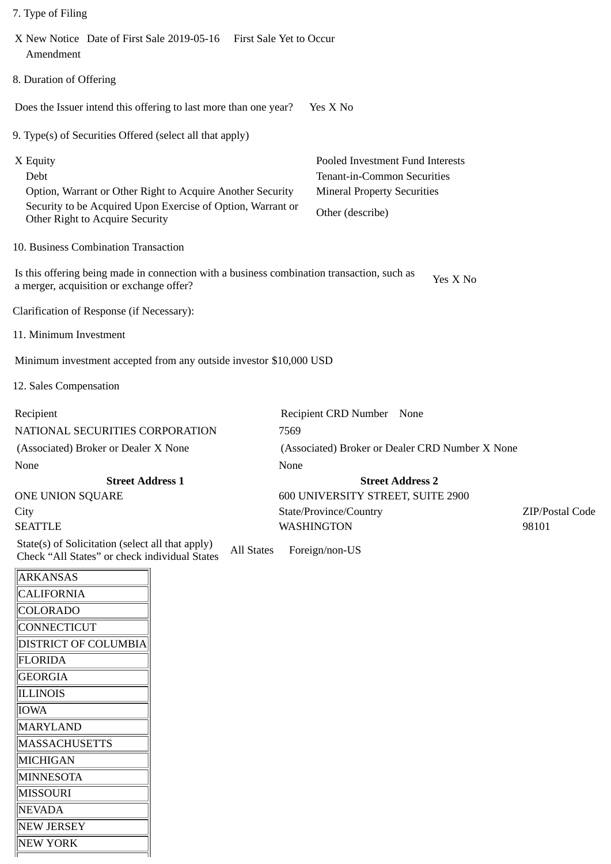|  | 7. Type of Filing |  |
|--|-------------------|--|
|--|-------------------|--|

| X New Notice Date of First Sale 2019-05-16 First Sale Yet to Occur<br>Amendment                                                                                                  |                                                                                                                           |
|----------------------------------------------------------------------------------------------------------------------------------------------------------------------------------|---------------------------------------------------------------------------------------------------------------------------|
| 8. Duration of Offering                                                                                                                                                          |                                                                                                                           |
| Does the Issuer intend this offering to last more than one year?                                                                                                                 | Yes X No                                                                                                                  |
| 9. Type(s) of Securities Offered (select all that apply)                                                                                                                         |                                                                                                                           |
| X Equity<br>Debt<br>Option, Warrant or Other Right to Acquire Another Security<br>Security to be Acquired Upon Exercise of Option, Warrant or<br>Other Right to Acquire Security | Pooled Investment Fund Interests<br>Tenant-in-Common Securities<br><b>Mineral Property Securities</b><br>Other (describe) |
| 10. Business Combination Transaction                                                                                                                                             |                                                                                                                           |
| Is this offering being made in connection with a business combination transaction, such as<br>a merger, acquisition or exchange offer?                                           | Yes X No                                                                                                                  |
| Clarification of Response (if Necessary):                                                                                                                                        |                                                                                                                           |
| 11. Minimum Investment                                                                                                                                                           |                                                                                                                           |
| Minimum investment accepted from any outside investor \$10,000 USD                                                                                                               |                                                                                                                           |
| 12. Sales Compensation                                                                                                                                                           |                                                                                                                           |
| Recipient                                                                                                                                                                        | Recipient CRD Number None                                                                                                 |
| NATIONAL SECURITIES CORPORATION                                                                                                                                                  | 7569                                                                                                                      |
| (Associated) Broker or Dealer X None                                                                                                                                             | (Associated) Broker or Dealer CRD Number X None                                                                           |
| None                                                                                                                                                                             | None                                                                                                                      |
| <b>Street Address 1</b>                                                                                                                                                          | <b>Street Address 2</b>                                                                                                   |
| ONE UNION SQUARE                                                                                                                                                                 | 600 UNIVERSITY STREET, SUITE 2900                                                                                         |
| City                                                                                                                                                                             | State/Province/Country<br>ZIP/Postal Code                                                                                 |
| <b>SEATTLE</b>                                                                                                                                                                   | 98101<br>WASHINGTON                                                                                                       |
| State(s) of Solicitation (select all that apply)<br><b>All States</b><br>Check "All States" or check individual States                                                           | Foreign/non-US                                                                                                            |
| <b>ARKANSAS</b>                                                                                                                                                                  |                                                                                                                           |
| CALIEORNIA                                                                                                                                                                       |                                                                                                                           |

| ARKANSAS                    |
|-----------------------------|
| <b>CALIFORNIA</b>           |
| COLORADO                    |
| CONNECTICUT                 |
| <b>DISTRICT OF COLUMBIA</b> |
| FLORIDA                     |
| GEORGIA                     |
| ILLINOIS                    |
| IOWA                        |
| MARYLAND                    |
| <b>MASSACHUSETTS</b>        |
| MICHIGAN                    |
| MINNESOTA                   |
| MISSOURI                    |
| NEVADA                      |
| NEW JERSEY                  |
| NEW YORK                    |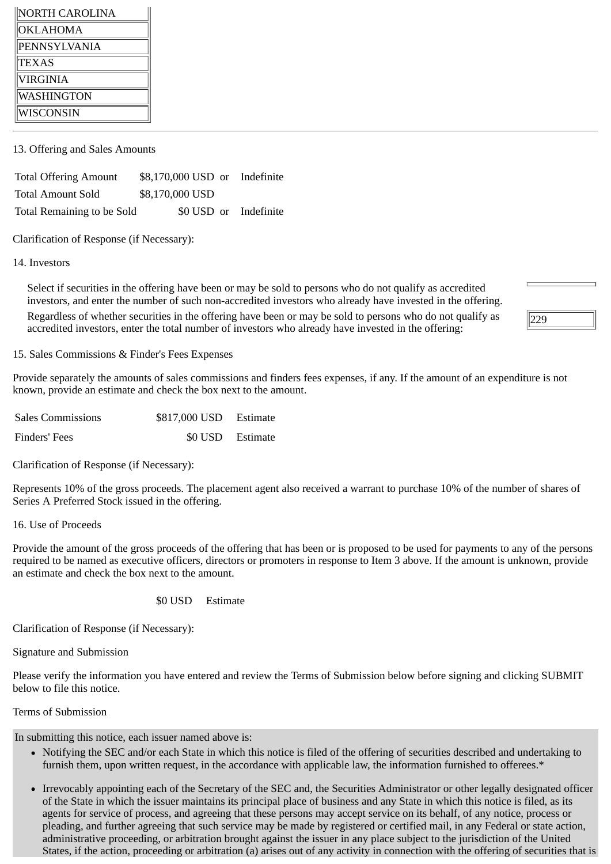| NORTH CAROLINA |
|----------------|
| OKLAHOMA       |
| PENNSYLVANIA   |
| <b>TEXAS</b>   |
| VIRGINIA       |
| WASHINGTON     |
| WISCONSIN      |

13. Offering and Sales Amounts

Total Offering Amount \$8,170,000 USD or Indefinite Total Amount Sold \$8,170,000 USD Total Remaining to be Sold \$0 USD or Indefinite

Clarification of Response (if Necessary):

14. Investors

Select if securities in the offering have been or may be sold to persons who do not qualify as accredited investors, and enter the number of such non-accredited investors who already have invested in the offering. Regardless of whether securities in the offering have been or may be sold to persons who do not qualify as accredited investors, enter the total number of investors who already have invested in the offering:

15. Sales Commissions & Finder's Fees Expenses

Provide separately the amounts of sales commissions and finders fees expenses, if any. If the amount of an expenditure is not known, provide an estimate and check the box next to the amount.

| <b>Sales Commissions</b> | \$817,000 USD Estimate |                  |
|--------------------------|------------------------|------------------|
| Finders' Fees            |                        | \$0 USD Estimate |

Clarification of Response (if Necessary):

Represents 10% of the gross proceeds. The placement agent also received a warrant to purchase 10% of the number of shares of Series A Preferred Stock issued in the offering.

16. Use of Proceeds

Provide the amount of the gross proceeds of the offering that has been or is proposed to be used for payments to any of the persons required to be named as executive officers, directors or promoters in response to Item 3 above. If the amount is unknown, provide an estimate and check the box next to the amount.

\$0 USD Estimate

Clarification of Response (if Necessary):

Signature and Submission

Please verify the information you have entered and review the Terms of Submission below before signing and clicking SUBMIT below to file this notice.

Terms of Submission

In submitting this notice, each issuer named above is:

- Notifying the SEC and/or each State in which this notice is filed of the offering of securities described and undertaking to furnish them, upon written request, in the accordance with applicable law, the information furnished to offerees.\*
- Irrevocably appointing each of the Secretary of the SEC and, the Securities Administrator or other legally designated officer of the State in which the issuer maintains its principal place of business and any State in which this notice is filed, as its agents for service of process, and agreeing that these persons may accept service on its behalf, of any notice, process or pleading, and further agreeing that such service may be made by registered or certified mail, in any Federal or state action, administrative proceeding, or arbitration brought against the issuer in any place subject to the jurisdiction of the United States, if the action, proceeding or arbitration (a) arises out of any activity in connection with the offering of securities that is

229